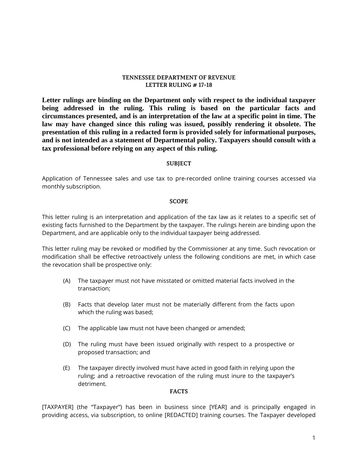# **TENNESSEE DEPARTMENT OF REVENUE LETTER RULING # 17-18**

**Letter rulings are binding on the Department only with respect to the individual taxpayer being addressed in the ruling. This ruling is based on the particular facts and circumstances presented, and is an interpretation of the law at a specific point in time. The law may have changed since this ruling was issued, possibly rendering it obsolete. The presentation of this ruling in a redacted form is provided solely for informational purposes, and is not intended as a statement of Departmental policy. Taxpayers should consult with a tax professional before relying on any aspect of this ruling.**

## **SUBJECT**

Application of Tennessee sales and use tax to pre-recorded online training courses accessed via monthly subscription.

## **SCOPE**

This letter ruling is an interpretation and application of the tax law as it relates to a specific set of existing facts furnished to the Department by the taxpayer. The rulings herein are binding upon the Department, and are applicable only to the individual taxpayer being addressed.

This letter ruling may be revoked or modified by the Commissioner at any time. Such revocation or modification shall be effective retroactively unless the following conditions are met, in which case the revocation shall be prospective only:

- (A) The taxpayer must not have misstated or omitted material facts involved in the transaction;
- (B) Facts that develop later must not be materially different from the facts upon which the ruling was based;
- (C) The applicable law must not have been changed or amended;
- (D) The ruling must have been issued originally with respect to a prospective or proposed transaction; and
- (E) The taxpayer directly involved must have acted in good faith in relying upon the ruling; and a retroactive revocation of the ruling must inure to the taxpayer's detriment.

### **FACTS**

[TAXPAYER] (the "Taxpayer") has been in business since [YEAR] and is principally engaged in providing access, via subscription, to online [REDACTED] training courses. The Taxpayer developed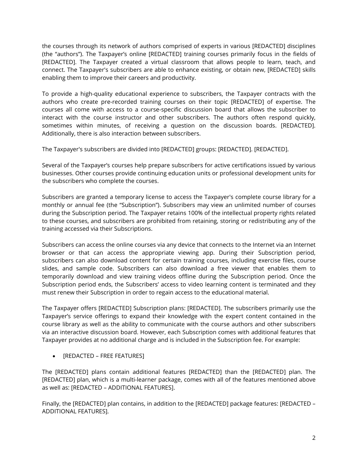the courses through its network of authors comprised of experts in various [REDACTED] disciplines (the "authors"). The Taxpayer's online [REDACTED] training courses primarily focus in the fields of [REDACTED]. The Taxpayer created a virtual classroom that allows people to learn, teach, and connect. The Taxpayer's subscribers are able to enhance existing, or obtain new, [REDACTED] skills enabling them to improve their careers and productivity.

To provide a high-quality educational experience to subscribers, the Taxpayer contracts with the authors who create pre-recorded training courses on their topic [REDACTED] of expertise. The courses all come with access to a course-specific discussion board that allows the subscriber to interact with the course instructor and other subscribers. The authors often respond quickly, sometimes within minutes, of receiving a question on the discussion boards. [REDACTED]. Additionally, there is also interaction between subscribers.

The Taxpayer's subscribers are divided into [REDACTED] groups: [REDACTED]. [REDACTED].

Several of the Taxpayer's courses help prepare subscribers for active certifications issued by various businesses. Other courses provide continuing education units or professional development units for the subscribers who complete the courses.

Subscribers are granted a temporary license to access the Taxpayer's complete course library for a monthly or annual fee (the "Subscription"). Subscribers may view an unlimited number of courses during the Subscription period. The Taxpayer retains 100% of the intellectual property rights related to these courses, and subscribers are prohibited from retaining, storing or redistributing any of the training accessed via their Subscriptions.

Subscribers can access the online courses via any device that connects to the Internet via an Internet browser or that can access the appropriate viewing app. During their Subscription period, subscribers can also download content for certain training courses, including exercise files, course slides, and sample code. Subscribers can also download a free viewer that enables them to temporarily download and view training videos offline during the Subscription period. Once the Subscription period ends, the Subscribers' access to video learning content is terminated and they must renew their Subscription in order to regain access to the educational material.

The Taxpayer offers [REDACTED] Subscription plans: [REDACTED]. The subscribers primarily use the Taxpayer's service offerings to expand their knowledge with the expert content contained in the course library as well as the ability to communicate with the course authors and other subscribers via an interactive discussion board. However, each Subscription comes with additional features that Taxpayer provides at no additional charge and is included in the Subscription fee. For example:

• [REDACTED – FREE FEATURES]

The [REDACTED] plans contain additional features [REDACTED] than the [REDACTED] plan. The [REDACTED] plan, which is a multi-learner package, comes with all of the features mentioned above as well as: [REDACTED – ADDITIONAL FEATURES].

Finally, the [REDACTED] plan contains, in addition to the [REDACTED] package features: [REDACTED – ADDITIONAL FEATURES].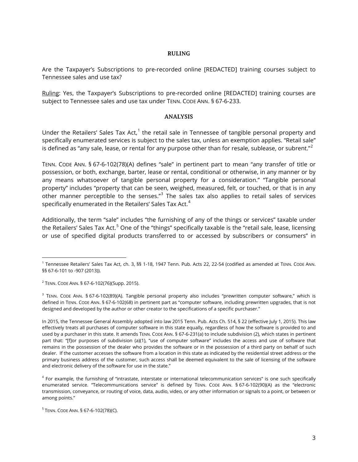# **RULING**

Are the Taxpayer's Subscriptions to pre-recorded online [REDACTED] training courses subject to Tennessee sales and use tax?

Ruling: Yes, the Taxpayer's Subscriptions to pre-recorded online [REDACTED] training courses are subject to Tennessee sales and use tax under TENN. CODE ANN. § 67-6-233.

### **ANALYSIS**

Under the Retailers' Sales Tax Act, $1$  the retail sale in Tennessee of tangible personal property and specifically enumerated services is subject to the sales tax, unless an exemption applies. "Retail sale" is defined as "any sale, lease, or rental for any purpose other than for resale, sublease, or subrent." $2$ 

TENN. CODE ANN. § 67-6-102(78)(A) defines "sale" in pertinent part to mean "any transfer of title or possession, or both, exchange, barter, lease or rental, conditional or otherwise, in any manner or by any means whatsoever of tangible personal property for a consideration." "Tangible personal property" includes "property that can be seen, weighed, measured, felt, or touched, or that is in any other manner perceptible to the senses." $3$  The sales tax also applies to retail sales of services specifically enumerated in the Retailers' Sales Tax Act.<sup>[4](#page-2-3)</sup>

Additionally, the term "sale" includes "the furnishing of any of the things or services" taxable under the Retailers' Sales Tax Act.<sup>[5](#page-2-4)</sup> One of the "things" specifically taxable is the "retail sale, lease, licensing or use of specified digital products transferred to or accessed by subscribers or consumers" in

 $\overline{a}$ 

<span id="page-2-0"></span> $^1$  Tennessee Retailers' Sales Tax Act, ch. 3, §§ 1-18, 1947 Tenn. Pub. Acts 22, 22-54 (codified as amended at TENN. CODE ANN. §§ 67-6-101 to -907 (2013)).

<span id="page-2-1"></span><sup>2</sup> TENN. CODE ANN. § 67-6-102(76)(Supp. 2015).

<span id="page-2-2"></span><sup>&</sup>lt;sup>3</sup> TENN. CODE ANN. § 67-6-102(89)(A). Tangible personal property also includes "prewritten computer software," which is defined in TENN. CODE ANN. § 67-6-102(68) in pertinent part as "computer software, including prewritten upgrades, that is not designed and developed by the author or other creator to the specifications of a specific purchaser."

In 2015, the Tennessee General Assembly adopted into law 2015 Tenn. Pub. Acts Ch. 514, § 22 (effective July 1, 2015). This law effectively treats all purchases of computer software in this state equally, regardless of how the software is provided to and used by a purchaser in this state. It amends TENN. CODE ANN. § 67-6-231(a) to include subdivision (2), which states in pertinent part that: "[f]or purposes of subdivision (a)(1), "use of computer software" includes the access and use of software that remains in the possession of the dealer who provides the software or in the possession of a third party on behalf of such dealer. If the customer accesses the software from a location in this state as indicated by the residential street address or the primary business address of the customer, such access shall be deemed equivalent to the sale of licensing of the software and electronic delivery of the software for use in the state."

<span id="page-2-3"></span><sup>&</sup>lt;sup>4</sup> For example, the furnishing of "intrastate, interstate or international telecommunication services" is one such specifically enumerated service. "Telecommunications service" is defined by TENN. CODE ANN. § 67-6-102(90)(A) as the "electronic transmission, conveyance, or routing of voice, data, audio, video, or any other information or signals to a point, or between or among points."

<span id="page-2-4"></span><sup>5</sup> TENN. CODE ANN. § 67-6-102(78)(C).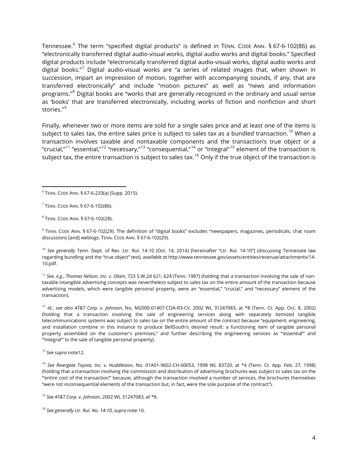Tennessee.<sup>[6](#page-3-0)</sup> The term "specified digital products" is defined in TENN. CODE ANN. § 67-6-102(86) as "electronically transferred digital audio-visual works, digital audio works and digital books." Specified digital products include "electronically transferred digital audio-visual works, digital audio works and digital books."<sup>[7](#page-3-1)</sup> Digital audio-visual works are "a series of related images that, when shown in succession, impart an impression of motion, together with accompanying sounds, if any, that are transferred electronically" and include "motion pictures" as well as "news and information programs."[8](#page-3-2) Digital books are "works that are generally recognized in the ordinary and usual sense as 'books' that are transferred electronically, including works of fiction and nonfiction and short stories."<sup>[9](#page-3-3)</sup>

Finally, whenever two or more items are sold for a single sales price and at least one of the items is subject to sales tax, the entire sales price is subject to sales tax as a bundled transaction. $^{10}$  $^{10}$  $^{10}$  When a transaction involves taxable and nontaxable components and the transaction's true object or a "crucial,"<sup>[11](#page-3-5)</sup> "essential,"<sup>[12](#page-3-6)</sup> "necessary,"<sup>[13](#page-3-7)</sup> "consequential,"<sup>[14](#page-3-8)</sup> or "integral"<sup>[15](#page-3-9)</sup> element of the transaction is subject tax, the entire transaction is subject to sales tax.<sup>[16](#page-3-10)</sup> Only if the true object of the transaction is

 $\overline{a}$ 

<span id="page-3-2"></span><sup>8</sup> TENN. CODE ANN. § 67-6-102(28).

<span id="page-3-3"></span><sup>9</sup> TENN. CODE ANN. § 67-6-102(29). The definition of "digital books" excludes "newspapers, magazines, periodicals, chat room discussions [and] weblogs. TENN. CODE ANN. § 67-6-102(29).

<span id="page-3-4"></span><sup>10</sup> See generally Tenn. Dept. of Rev. Ltr. Rul. 14-10 (Oct. 14, 2014) [hereinafter "Ltr. Rul. 14-10"] (discussing Tennessee law regarding bundling and the "true object" test), *available at* http://www.tennessee.gov/assets/entities/revenue/attachments/14- 10.pdf.

<span id="page-3-5"></span><sup>11</sup> *See, e.g.*, *Thomas Nelson, Inc. v. Olsen*, 723 S.W.2d 621, 624 (Tenn. 1987) (holding that a transaction involving the sale of nontaxable intangible advertising concepts was nevertheless subject to sales tax on the entire amount of the transaction because advertising models, which were tangible personal property, were an "essential," "crucial," and "necessary" element of the transaction).

<span id="page-3-6"></span><sup>12</sup> *Id*.; *see also AT&T Corp. v. Johnson*, No. M2000-01407-COA-R3-CV, 2002 WL 31247083, at \*8 (Tenn. Ct. App. Oct. 8, 2002) (holding that a transaction involving the sale of engineering services along with separately itemized tangible telecommunications systems was subject to sales tax on the entire amount of the contract because "equipment, engineering, and installation combine in this instance to produce BellSouth's desired result: a functioning item of tangible personal property assembled on the customer's premises," and further describing the engineering services as "essential" and "'integral'" to the sale of tangible personal property).

<span id="page-3-7"></span><sup>13</sup> *See supra* note12.

<span id="page-3-8"></span><sup>14</sup> *See Rivergate Toyota, Inc. v. Huddleston*, No. 01A01-9602-CH-00053, 1998 WL 83720, at \*4 (Tenn. Ct. App. Feb. 27, 1998) (holding that a transaction involving the commission and distribution of advertising brochures was subject to sales tax on the "'entire cost of the transaction'" because, although the transaction involved a number of services, the brochures themselves "were not inconsequential elements of the transaction but, in fact, were the sole purpose of the contract").

<span id="page-3-9"></span><sup>15</sup> *See AT&T Corp. v. Johnson*, 2002 WL 31247083, at \*8.

<span id="page-3-0"></span><sup>6</sup> TENN. CODE ANN. § 67-6-233(a) (Supp. 2015).

<span id="page-3-1"></span><sup>7</sup> TENN. CODE ANN. § 67-6-102(86).

<span id="page-3-10"></span><sup>16</sup> *See generally Ltr. Rul. No. 14-10*, *supra* note 10.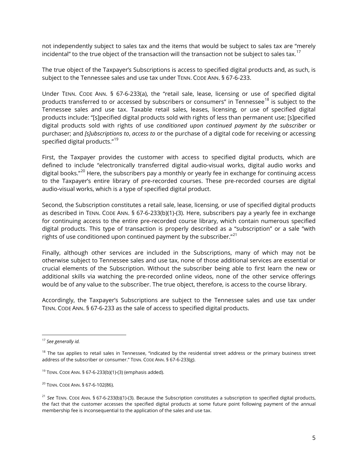not independently subject to sales tax and the items that would be subject to sales tax are "merely incidental" to the true object of the transaction will the transaction not be subject to sales tax.<sup>[17](#page-4-0)</sup>

The true object of the Taxpayer's Subscriptions is access to specified digital products and, as such, is subject to the Tennessee sales and use tax under TENN. CODE ANN. § 67-6-233.

Under TENN. CODE ANN. § 67-6-233(a), the "retail sale, lease, licensing or use of specified digital products transferred to or accessed by subscribers or consumers" in Tennessee<sup>[18](#page-4-1)</sup> is subject to the Tennessee sales and use tax. Taxable retail sales, leases, licensing, or use of specified digital products include: "[s]pecified digital products sold with rights of less than permanent use; [s]pecified digital products sold with rights of use *conditioned upon continued payment by the subscriber* or purchaser; and *[s]ubscriptions to*, *access to* or the purchase of a digital code for receiving or accessing specified digital products."<sup>[19](#page-4-2)</sup>

First, the Taxpayer provides the customer with access to specified digital products, which are defined to include "electronically transferred digital audio-visual works, digital audio works and digital books."<sup>[20](#page-4-3)</sup> Here, the subscribers pay a monthly or yearly fee in exchange for continuing access to the Taxpayer's entire library of pre-recorded courses. These pre-recorded courses are digital audio-visual works, which is a type of specified digital product.

Second, the Subscription constitutes a retail sale, lease, licensing, or use of specified digital products as described in TENN. CODE ANN. § 67-6-233(b)(1)-(3). Here, subscribers pay a yearly fee in exchange for continuing access to the entire pre-recorded course library, which contain numerous specified digital products. This type of transaction is properly described as a "subscription" or a sale "with rights of use conditioned upon continued payment by the subscriber. $"^{21}$  $"^{21}$  $"^{21}$ 

Finally, although other services are included in the Subscriptions, many of which may not be otherwise subject to Tennessee sales and use tax, none of those additional services are essential or crucial elements of the Subscription. Without the subscriber being able to first learn the new or additional skills via watching the pre-recorded online videos, none of the other service offerings would be of any value to the subscriber. The true object, therefore, is access to the course library.

Accordingly, the Taxpayer's Subscriptions are subject to the Tennessee sales and use tax under TENN. CODE ANN. § 67-6-233 as the sale of access to specified digital products.

 $\overline{a}$ 

<span id="page-4-0"></span><sup>17</sup> *See generally id.*

<span id="page-4-1"></span> $18$  The tax applies to retail sales in Tennessee, "indicated by the residential street address or the primary business street address of the subscriber or consumer." TENN. CODE ANN. § 67-6-233(g).

<span id="page-4-2"></span> $19$  TENN. CODE ANN. § 67-6-233(b)(1)-(3) (emphasis added).

<span id="page-4-3"></span><sup>20</sup> TENN. CODE ANN. § 67-6-102(86).

<span id="page-4-4"></span><sup>21</sup> *See* TENN. CODE ANN. § 67-6-233(b)(1)-(3). Because the Subscription constitutes a subscription to specified digital products, the fact that the customer accesses the specified digital products at some future point following payment of the annual membership fee is inconsequential to the application of the sales and use tax.